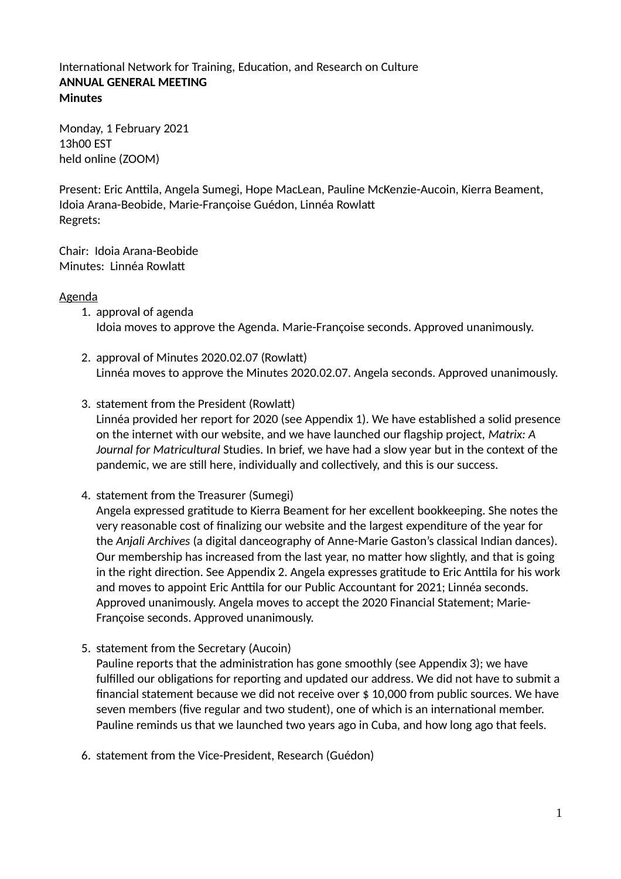### International Network for Training, Education, and Research on Culture **ANNUAL GENERAL MEETING Minutes**

Monday, 1 February 2021 13h00 EST held online (ZOOM)

Present: Eric Anttila, Angela Sumegi, Hope MacLean, Pauline McKenzie-Aucoin, Kierra Beament, Idoia Arana-Beobide, Marie-Françoise Guédon, Linnéa Rowlat Regrets:

Chair: Idoia Arana-Beobide Minutes: Linnéa Rowlat

#### Agenda

- 1. approval of agenda Idoia moves to approve the Agenda. Marie-Françoise seconds. Approved unanimously.
- 2. approval of Minutes 2020.02.07 (Rowlat) Linnéa moves to approve the Minutes 2020.02.07. Angela seconds. Approved unanimously.
- 3. statement from the President (Rowlat) Linnéa provided her report for 2020 (see Appendix 1). We have established a solid presence on the internet with our website, and we have launched our flagship project, *Matrix: A Journal for Matricultural* Studies. In brief, we have had a slow year but in the context of the pandemic, we are still here, individually and collectively, and this is our success.
- 4. statement from the Treasurer (Sumegi)

Angela expressed gratitude to Kierra Beament for her excellent bookkeeping. She notes the very reasonable cost of finalizing our website and the largest expenditure of the year for the *Anjali Archives* (a digital danceography of Anne-Marie Gaston's classical Indian dances). Our membership has increased from the last year, no mater how slightly, and that is going in the right direction. See Appendix 2. Angela expresses gratitude to Eric Anttila for his work and moves to appoint Eric Anttila for our Public Accountant for 2021; Linnéa seconds. Approved unanimously. Angela moves to accept the 2020 Financial Statement; Marie-Françoise seconds. Approved unanimously.

5. statement from the Secretary (Aucoin)

Pauline reports that the administration has gone smoothly (see Appendix 3); we have fulfilled our obligations for reporting and updated our address. We did not have to submit a financial statement because we did not receive over \$ 10,000 from public sources. We have seven members (five regular and two student), one of which is an international member. Pauline reminds us that we launched two years ago in Cuba, and how long ago that feels.

6. statement from the Vice-President, Research (Guédon)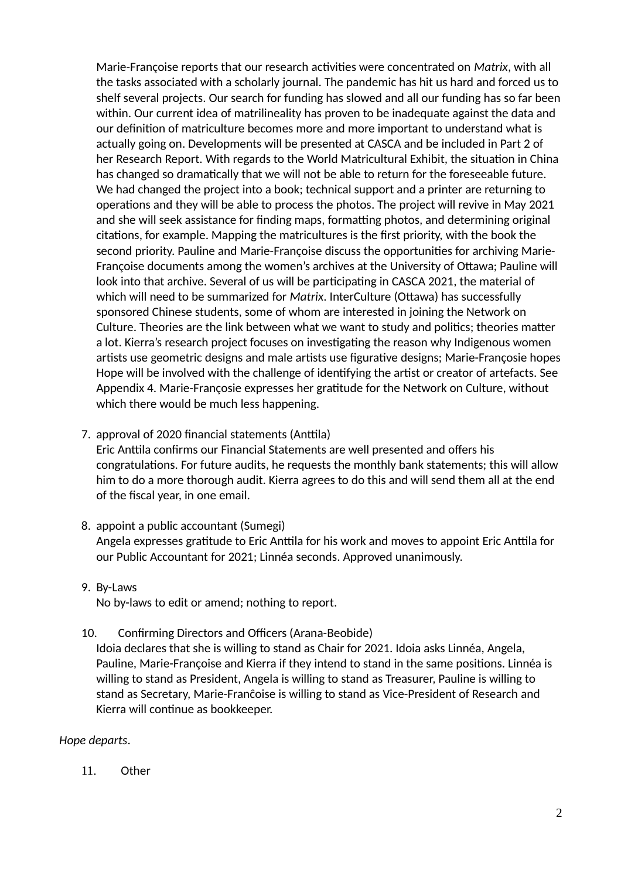Marie-Françoise reports that our research activities were concentrated on *Matrix*, with all the tasks associated with a scholarly journal. The pandemic has hit us hard and forced us to shelf several projects. Our search for funding has slowed and all our funding has so far been within. Our current idea of matrilineality has proven to be inadequate against the data and our definition of matriculture becomes more and more important to understand what is actually going on. Developments will be presented at CASCA and be included in Part 2 of her Research Report. With regards to the World Matricultural Exhibit, the situation in China has changed so dramatically that we will not be able to return for the foreseeable future. We had changed the project into a book; technical support and a printer are returning to operations and they will be able to process the photos. The project will revive in May 2021 and she will seek assistance for finding maps, formatting photos, and determining original citations, for example. Mapping the matricultures is the first priority, with the book the second priority. Pauline and Marie-Françoise discuss the opportunities for archiving Marie-Françoise documents among the women's archives at the University of Otawa; Pauline will look into that archive. Several of us will be participating in CASCA 2021, the material of which will need to be summarized for *Matrix*. InterCulture (Otawa) has successfully sponsored Chinese students, some of whom are interested in joining the Network on Culture. Theories are the link between what we want to study and politics; theories mater a lot. Kierra's research project focuses on investigating the reason why Indigenous women artists use geometric designs and male artists use figurative designs; Marie-Françosie hopes Hope will be involved with the challenge of identifying the artist or creator of artefacts. See Appendix 4. Marie-Françosie expresses her gratitude for the Network on Culture, without which there would be much less happening.

7. approval of 2020 financial statements (Anttila)

Eric Anttila confirms our Financial Statements are well presented and offers his congratulations. For future audits, he requests the monthly bank statements; this will allow him to do a more thorough audit. Kierra agrees to do this and will send them all at the end of the fiscal year, in one email.

- 8. appoint a public accountant (Sumegi) Angela expresses gratitude to Eric Anttila for his work and moves to appoint Eric Anttila for our Public Accountant for 2021; Linnéa seconds. Approved unanimously.
- 9. By-Laws

No by-laws to edit or amend; nothing to report.

10. Confirming Directors and Officers (Arana-Beobide)

Idoia declares that she is willing to stand as Chair for 2021. Idoia asks Linnéa, Angela, Pauline, Marie-Françoise and Kierra if they intend to stand in the same positions. Linnéa is willing to stand as President, Angela is willing to stand as Treasurer, Pauline is willing to stand as Secretary, Marie-Franĉoise is willing to stand as Vice-President of Research and Kierra will continue as bookkeeper.

## *Hope departs*.

11. Other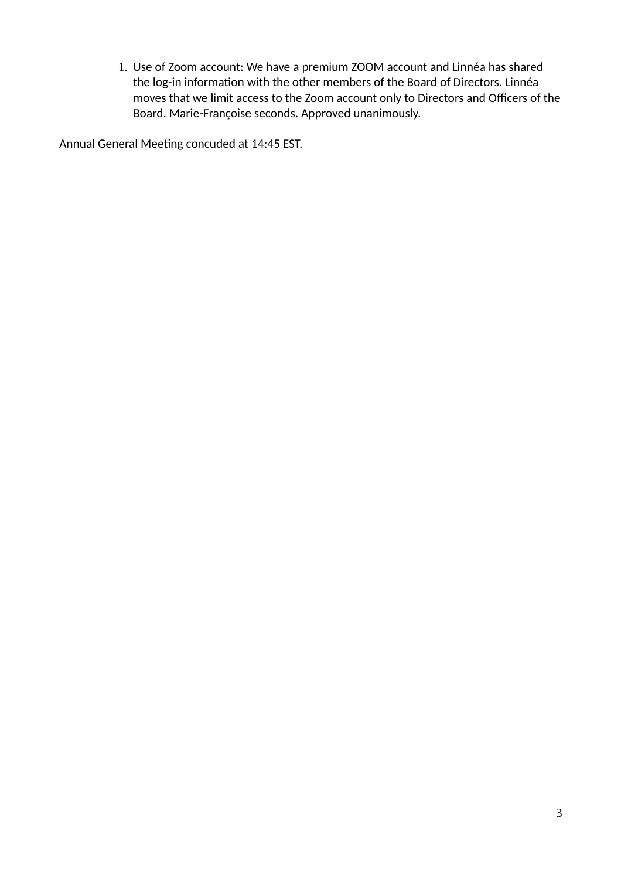1. Use of Zoom account: We have a premium ZOOM account and Linnéa has shared the log-in information with the other members of the Board of Directors. Linnéa moves that we limit access to the Zoom account only to Directors and Officers of the Board. Marie-Françoise seconds. Approved unanimously.

Annual General Meeting concuded at 14:45 EST.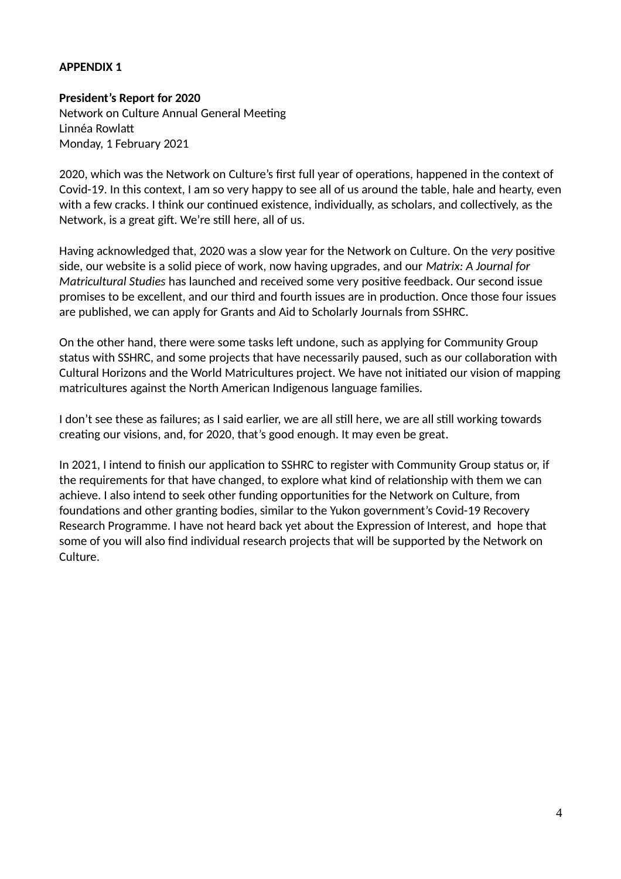### **APPENDIX 1**

#### **President's Report for 2020**

Network on Culture Annual General Meeting Linnéa Rowlat Monday, 1 February 2021

2020, which was the Network on Culture's first full year of operations, happened in the context of Covid-19. In this context, I am so very happy to see all of us around the table, hale and hearty, even with a few cracks. I think our continued existence, individually, as scholars, and collectively, as the Network, is a great gift. We're still here, all of us.

Having acknowledged that, 2020 was a slow year for the Network on Culture. On the *very* positive side, our website is a solid piece of work, now having upgrades, and our *Matrix: A Journal for Matricultural Studies* has launched and received some very positive feedback. Our second issue promises to be excellent, and our third and fourth issues are in production. Once those four issues are published, we can apply for Grants and Aid to Scholarly Journals from SSHRC.

On the other hand, there were some tasks left undone, such as applying for Community Group status with SSHRC, and some projects that have necessarily paused, such as our collaboration with Cultural Horizons and the World Matricultures project. We have not initiated our vision of mapping matricultures against the North American Indigenous language families.

I don't see these as failures; as I said earlier, we are all still here, we are all still working towards creating our visions, and, for 2020, that's good enough. It may even be great.

In 2021, I intend to finish our application to SSHRC to register with Community Group status or, if the requirements for that have changed, to explore what kind of relationship with them we can achieve. I also intend to seek other funding opportunities for the Network on Culture, from foundations and other granting bodies, similar to the Yukon government's Covid-19 Recovery Research Programme. I have not heard back yet about the Expression of Interest, and hope that some of you will also find individual research projects that will be supported by the Network on Culture.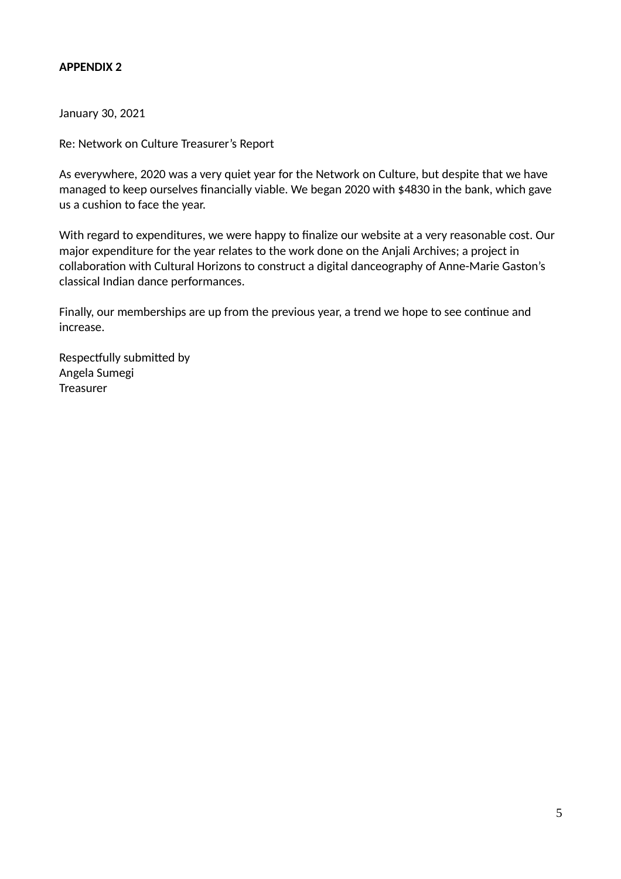## **APPENDIX 2**

January 30, 2021

Re: Network on Culture Treasurer's Report

As everywhere, 2020 was a very quiet year for the Network on Culture, but despite that we have managed to keep ourselves financially viable. We began 2020 with \$4830 in the bank, which gave us a cushion to face the year.

With regard to expenditures, we were happy to finalize our website at a very reasonable cost. Our major expenditure for the year relates to the work done on the Anjali Archives; a project in collaboration with Cultural Horizons to construct a digital danceography of Anne-Marie Gaston's classical Indian dance performances.

Finally, our memberships are up from the previous year, a trend we hope to see continue and increase.

Respectfully submited by Angela Sumegi **Treasurer**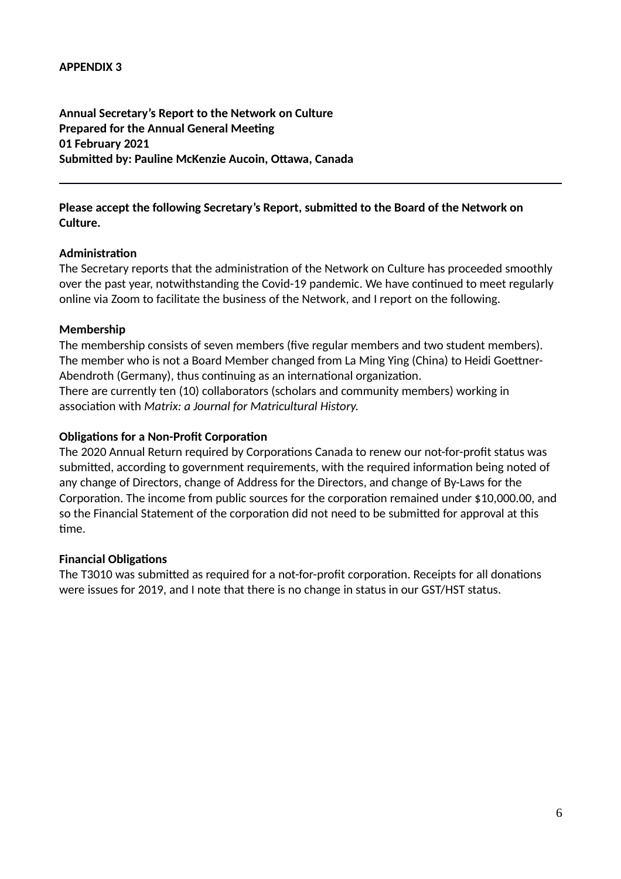**Annual Secretary's Report to the Network on Culture Prepared for the Annual General Meeting 01 February 2021 Submitted by: Pauline McKenzie Aucoin, Ottawa, Canada**

## **Please accept the following Secretary's Report, submitted to the Board of the Network on Culture.**

## **Administration**

The Secretary reports that the administration of the Network on Culture has proceeded smoothly over the past year, notwithstanding the Covid-19 pandemic. We have continued to meet regularly online via Zoom to facilitate the business of the Network, and I report on the following.

#### **Membership**

The membership consists of seven members (five regular members and two student members). The member who is not a Board Member changed from La Ming Ying (China) to Heidi Goetner-Abendroth (Germany), thus continuing as an international organization. There are currently ten (10) collaborators (scholars and community members) working in association with *Matrix: a Journal for Matricultural History.*

### **Obligations for a Non-Profit Corporation**

The 2020 Annual Return required by Corporations Canada to renew our not-for-profit status was submited, according to government requirements, with the required information being noted of any change of Directors, change of Address for the Directors, and change of By-Laws for the Corporation. The income from public sources for the corporation remained under \$10,000.00, and so the Financial Statement of the corporation did not need to be submited for approval at this time.

## **Financial Obligations**

The T3010 was submited as required for a not-for-profit corporation. Receipts for all donations were issues for 2019, and I note that there is no change in status in our GST/HST status.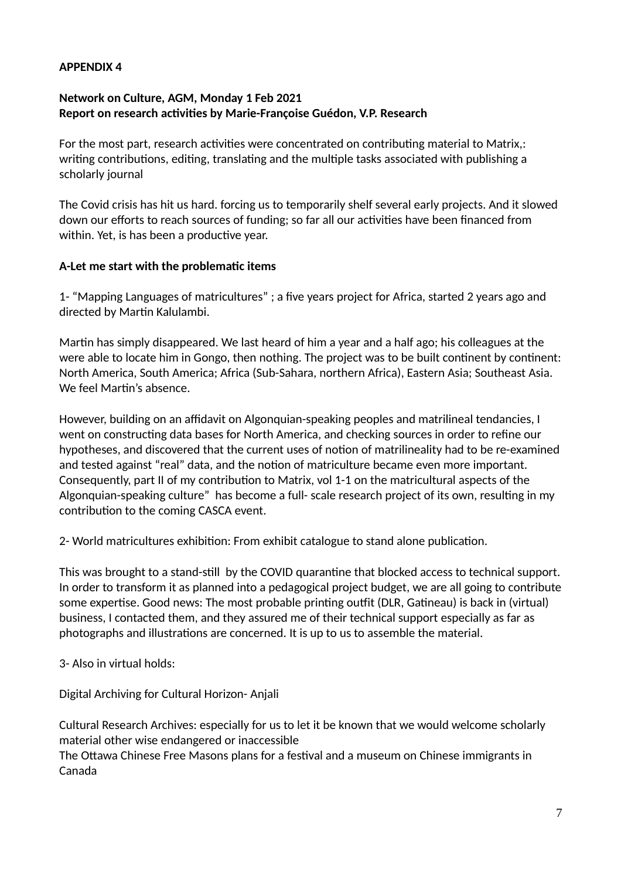### **APPENDIX 4**

# **Network on Culture, AGM, Monday 1 Feb 2021 Report on research activities by Marie-Françoise Guédon, V.P. Research**

For the most part, research activities were concentrated on contributing material to Matrix,: writing contributions, editing, translating and the multiple tasks associated with publishing a scholarly journal

The Covid crisis has hit us hard. forcing us to temporarily shelf several early projects. And it slowed down our efforts to reach sources of funding; so far all our activities have been financed from within. Yet, is has been a productive year.

#### **A-Let me start with the problematic items**

1- "Mapping Languages of matricultures" ; a five years project for Africa, started 2 years ago and directed by Martin Kalulambi.

Martin has simply disappeared. We last heard of him a year and a half ago; his colleagues at the were able to locate him in Gongo, then nothing. The project was to be built continent by continent: North America, South America; Africa (Sub-Sahara, northern Africa), Eastern Asia; Southeast Asia. We feel Martin's absence.

However, building on an affidavit on Algonquian-speaking peoples and matrilineal tendancies, I went on constructing data bases for North America, and checking sources in order to refine our hypotheses, and discovered that the current uses of notion of matrilineality had to be re-examined and tested against "real" data, and the notion of matriculture became even more important. Consequently, part II of my contribution to Matrix, vol 1-1 on the matricultural aspects of the Algonquian-speaking culture" has become a full- scale research project of its own, resulting in my contribution to the coming CASCA event.

2- World matricultures exhibition: From exhibit catalogue to stand alone publication.

This was brought to a stand-still by the COVID quarantine that blocked access to technical support. In order to transform it as planned into a pedagogical project budget, we are all going to contribute some expertise. Good news: The most probable printing outfit (DLR, Gatineau) is back in (virtual) business, I contacted them, and they assured me of their technical support especially as far as photographs and illustrations are concerned. It is up to us to assemble the material.

3- Also in virtual holds:

Digital Archiving for Cultural Horizon- Anjali

Cultural Research Archives: especially for us to let it be known that we would welcome scholarly material other wise endangered or inaccessible

The Ottawa Chinese Free Masons plans for a festival and a museum on Chinese immigrants in Canada